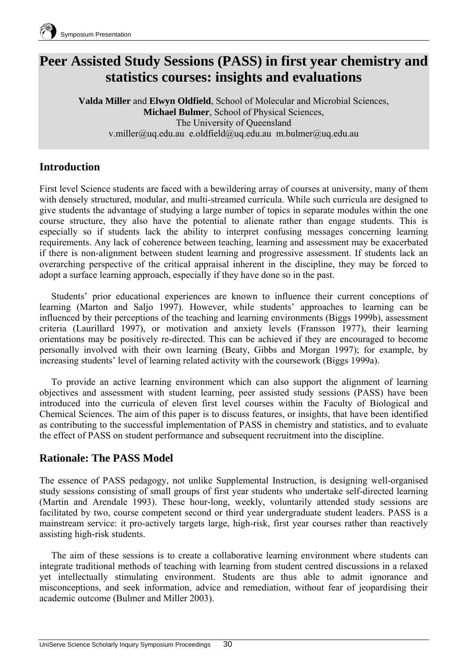

# **Peer Assisted Study Sessions (PASS) in first year chemistry and statistics courses: insights and evaluations**

**Valda Miller** and **Elwyn Oldfield**, School of Molecular and Microbial Sciences, **Michael Bulmer**, School of Physical Sciences, The University of Queensland v.miller@uq.edu.au e.oldfield@uq.edu.au m.bulmer@uq.edu.au

# **Introduction**

First level Science students are faced with a bewildering array of courses at university, many of them with densely structured, modular, and multi-streamed curricula. While such curricula are designed to give students the advantage of studying a large number of topics in separate modules within the one course structure, they also have the potential to alienate rather than engage students. This is especially so if students lack the ability to interpret confusing messages concerning learning requirements. Any lack of coherence between teaching, learning and assessment may be exacerbated if there is non-alignment between student learning and progressive assessment. If students lack an overarching perspective of the critical appraisal inherent in the discipline, they may be forced to adopt a surface learning approach, especially if they have done so in the past.

 Students' prior educational experiences are known to influence their current conceptions of learning (Marton and Saljo 1997). However, while students' approaches to learning can be influenced by their perceptions of the teaching and learning environments (Biggs 1999b), assessment criteria (Laurillard 1997), or motivation and anxiety levels (Fransson 1977), their learning orientations may be positively re-directed. This can be achieved if they are encouraged to become personally involved with their own learning (Beaty, Gibbs and Morgan 1997); for example, by increasing students' level of learning related activity with the coursework (Biggs 1999a).

 To provide an active learning environment which can also support the alignment of learning objectives and assessment with student learning, peer assisted study sessions (PASS) have been introduced into the curricula of eleven first level courses within the Faculty of Biological and Chemical Sciences. The aim of this paper is to discuss features, or insights, that have been identified as contributing to the successful implementation of PASS in chemistry and statistics, and to evaluate the effect of PASS on student performance and subsequent recruitment into the discipline.

## **Rationale: The PASS Model**

The essence of PASS pedagogy, not unlike Supplemental Instruction, is designing well-organised study sessions consisting of small groups of first year students who undertake self-directed learning (Martin and Arendale 1993). These hour-long, weekly, voluntarily attended study sessions are facilitated by two, course competent second or third year undergraduate student leaders. PASS is a mainstream service: it pro-actively targets large, high-risk, first year courses rather than reactively assisting high-risk students.

 The aim of these sessions is to create a collaborative learning environment where students can integrate traditional methods of teaching with learning from student centred discussions in a relaxed yet intellectually stimulating environment. Students are thus able to admit ignorance and misconceptions, and seek information, advice and remediation, without fear of jeopardising their academic outcome (Bulmer and Miller 2003).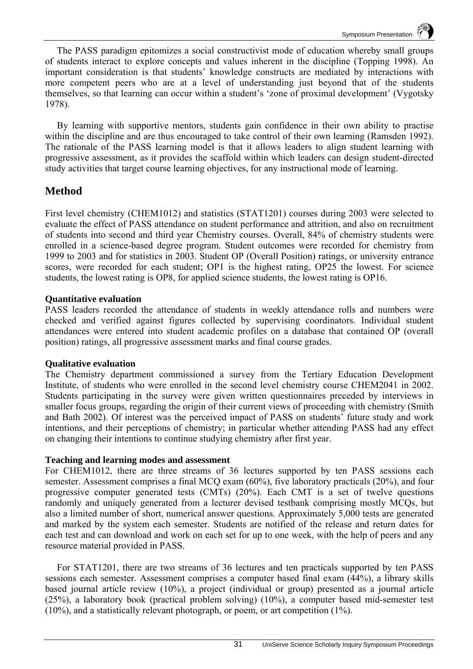The PASS paradigm epitomizes a social constructivist mode of education whereby small groups of students interact to explore concepts and values inherent in the discipline (Topping 1998). An important consideration is that students' knowledge constructs are mediated by interactions with more competent peers who are at a level of understanding just beyond that of the students themselves, so that learning can occur within a student's 'zone of proximal development' (Vygotsky 1978).

 By learning with supportive mentors, students gain confidence in their own ability to practise within the discipline and are thus encouraged to take control of their own learning (Ramsden 1992). The rationale of the PASS learning model is that it allows leaders to align student learning with progressive assessment, as it provides the scaffold within which leaders can design student-directed study activities that target course learning objectives, for any instructional mode of learning.

## **Method**

First level chemistry (CHEM1012) and statistics (STAT1201) courses during 2003 were selected to evaluate the effect of PASS attendance on student performance and attrition, and also on recruitment of students into second and third year Chemistry courses. Overall, 84% of chemistry students were enrolled in a science-based degree program. Student outcomes were recorded for chemistry from 1999 to 2003 and for statistics in 2003. Student OP (Overall Position) ratings, or university entrance scores, were recorded for each student; OP1 is the highest rating, OP25 the lowest. For science students, the lowest rating is OP8, for applied science students, the lowest rating is OP16.

## **Quantitative evaluation**

PASS leaders recorded the attendance of students in weekly attendance rolls and numbers were checked and verified against figures collected by supervising coordinators. Individual student attendances were entered into student academic profiles on a database that contained OP (overall position) ratings, all progressive assessment marks and final course grades.

## **Qualitative evaluation**

The Chemistry department commissioned a survey from the Tertiary Education Development Institute, of students who were enrolled in the second level chemistry course CHEM2041 in 2002. Students participating in the survey were given written questionnaires preceded by interviews in smaller focus groups, regarding the origin of their current views of proceeding with chemistry (Smith and Bath 2002). Of interest was the perceived impact of PASS on students' future study and work intentions, and their perceptions of chemistry; in particular whether attending PASS had any effect on changing their intentions to continue studying chemistry after first year.

## **Teaching and learning modes and assessment**

For CHEM1012, there are three streams of 36 lectures supported by ten PASS sessions each semester. Assessment comprises a final MCQ exam (60%), five laboratory practicals (20%), and four progressive computer generated tests (CMTs) (20%). Each CMT is a set of twelve questions randomly and uniquely generated from a lecturer devised testbank comprising mostly MCQs, but also a limited number of short, numerical answer questions. Approximately 5,000 tests are generated and marked by the system each semester. Students are notified of the release and return dates for each test and can download and work on each set for up to one week, with the help of peers and any resource material provided in PASS.

 For STAT1201, there are two streams of 36 lectures and ten practicals supported by ten PASS sessions each semester. Assessment comprises a computer based final exam (44%), a library skills based journal article review (10%), a project (individual or group) presented as a journal article (25%), a laboratory book (practical problem solving) (10%), a computer based mid-semester test (10%), and a statistically relevant photograph, or poem, or art competition (1%).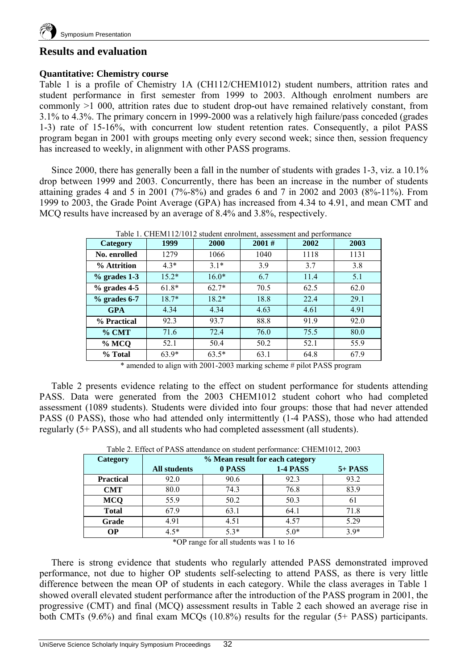

## **Results and evaluation**

#### **Quantitative: Chemistry course**

Table 1 is a profile of Chemistry 1A (CH112/CHEM1012) student numbers, attrition rates and student performance in first semester from 1999 to 2003. Although enrolment numbers are commonly >1 000, attrition rates due to student drop-out have remained relatively constant, from 3.1% to 4.3%. The primary concern in 1999-2000 was a relatively high failure/pass conceded (grades 1-3) rate of 15-16%, with concurrent low student retention rates. Consequently, a pilot PASS program began in 2001 with groups meeting only every second week; since then, session frequency has increased to weekly, in alignment with other PASS programs.

 Since 2000, there has generally been a fall in the number of students with grades 1-3, viz. a 10.1% drop between 1999 and 2003. Concurrently, there has been an increase in the number of students attaining grades 4 and 5 in 2001 (7%-8%) and grades 6 and 7 in 2002 and 2003 (8%-11%). From 1999 to 2003, the Grade Point Average (GPA) has increased from 4.34 to 4.91, and mean CMT and MCQ results have increased by an average of 8.4% and 3.8%, respectively.

| Category       | 1999    | 2000    | 2001# | 2002 | Table T. CHEMTIZ/TUTZ student enrolment, assessment and performance<br>2003 |  |
|----------------|---------|---------|-------|------|-----------------------------------------------------------------------------|--|
| No. enrolled   | 1279    | 1066    | 1040  | 1118 | 1131                                                                        |  |
| % Attrition    | $4.3*$  | $31*$   | 3.9   | 3.7  | 3.8                                                                         |  |
| $%$ grades 1-3 | $15.2*$ | $16.0*$ | 6.7   | 11.4 | 5.1                                                                         |  |
| $%$ grades 4-5 | $61.8*$ | $62.7*$ | 70.5  | 62.5 | 62.0                                                                        |  |
| $%$ grades 6-7 | $18.7*$ | $18.2*$ | 18.8  | 22.4 | 29.1                                                                        |  |
| <b>GPA</b>     | 4.34    | 4.34    | 4.63  | 4.61 | 4.91                                                                        |  |
| % Practical    | 92.3    | 93.7    | 88.8  | 91.9 | 92.0                                                                        |  |
| $%$ CMT        | 71.6    | 72.4    | 76.0  | 75.5 | 80.0                                                                        |  |
| % MCQ          | 52.1    | 50.4    | 50.2  | 52.1 | 55.9                                                                        |  |
| % Total        | $63.9*$ | $63.5*$ | 63.1  | 64.8 | 67.9                                                                        |  |

 $Table 1. *CIIFM112/1012* student, and$ 

\* amended to align with 2001-2003 marking scheme # pilot PASS program

 Table 2 presents evidence relating to the effect on student performance for students attending PASS. Data were generated from the 2003 CHEM1012 student cohort who had completed assessment (1089 students). Students were divided into four groups: those that had never attended PASS (0 PASS), those who had attended only intermittently (1-4 PASS), those who had attended regularly (5+ PASS), and all students who had completed assessment (all students).

| Table 2. Effect of PASS attendance on student performance: CHEM1012, 2003 |                                 |        |                 |           |  |  |  |  |
|---------------------------------------------------------------------------|---------------------------------|--------|-----------------|-----------|--|--|--|--|
| Category                                                                  | % Mean result for each category |        |                 |           |  |  |  |  |
|                                                                           | <b>All students</b>             | 0 PASS | <b>1-4 PASS</b> | $5+$ PASS |  |  |  |  |
| <b>Practical</b>                                                          | 92.0                            | 90.6   | 92.3            | 93.2      |  |  |  |  |
| <b>CMT</b>                                                                | 80.0                            | 74.3   | 76.8            | 83.9      |  |  |  |  |
| <b>MCQ</b>                                                                | 55.9                            | 50.2   | 50.3            | 61        |  |  |  |  |
| <b>Total</b>                                                              | 67.9                            | 63.1   | 64.1            | 71.8      |  |  |  |  |
| Grade                                                                     | 4.91                            | 4.51   | 4.57            | 5.29      |  |  |  |  |
| <b>OP</b>                                                                 | $4.5*$                          | $5.3*$ | $5.0*$          | $3.9*$    |  |  |  |  |

Table 2. Effect of PASS attendance on student performance: CHEM1012, 2003

\*OP range for all students was 1 to 16

 There is strong evidence that students who regularly attended PASS demonstrated improved performance, not due to higher OP students self-selecting to attend PASS, as there is very little difference between the mean OP of students in each category. While the class averages in Table 1 showed overall elevated student performance after the introduction of the PASS program in 2001, the progressive (CMT) and final (MCQ) assessment results in Table 2 each showed an average rise in both CMTs (9.6%) and final exam MCQs (10.8%) results for the regular (5+ PASS) participants.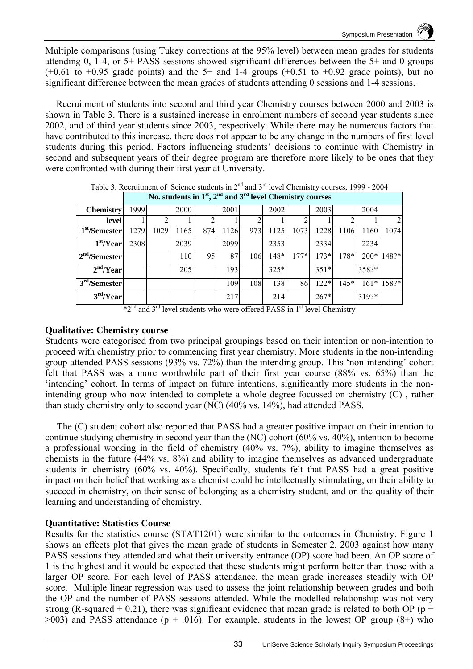Multiple comparisons (using Tukey corrections at the 95% level) between mean grades for students attending 0, 1-4, or 5+ PASS sessions showed significant differences between the 5+ and 0 groups  $(+0.61 \text{ to } +0.95 \text{ grade points})$  and the 5+ and 1-4 groups  $(+0.51 \text{ to } +0.92 \text{ grade points})$ , but no significant difference between the mean grades of students attending 0 sessions and 1-4 sessions.

Recruitment of students into second and third year Chemistry courses between 2000 and 2003 is shown in Table 3. There is a sustained increase in enrolment numbers of second year students since 2002, and of third year students since 2003, respectively. While there may be numerous factors that have contributed to this increase, there does not appear to be any change in the numbers of first level students during this period. Factors influencing students' decisions to continue with Chemistry in second and subsequent years of their degree program are therefore more likely to be ones that they were confronted with during their first year at University.

| No. students in $1st$ , $2nd$ and $3rd$ level Chemistry courses |      |      |      |     |      |     |        |        |        |        |        |                |
|-----------------------------------------------------------------|------|------|------|-----|------|-----|--------|--------|--------|--------|--------|----------------|
| <b>Chemistry</b>                                                | 1999 |      | 2000 |     | 2001 |     | 2002   |        | 2003   |        | 2004   |                |
| level                                                           |      |      |      |     |      |     |        |        |        |        |        | $\overline{2}$ |
| 1 <sup>st</sup> /Semester                                       | 1279 | 1029 | 1165 | 874 | 1126 | 973 | 1125   | 1073   | 1228   | 1106   | 1160   | 1074           |
| $\overline{1}^{\rm st}/\overline{Y}$ ear                        | 2308 |      | 2039 |     | 2099 |     | 2353   |        | 2334   |        | 2234   |                |
| 2 <sup>nd</sup> /Semester                                       |      |      | 110  | 95  | 87   | 106 | 148*   | $177*$ | $173*$ | $178*$ | $200*$ | $148?*$        |
| 2 <sup>nd</sup> /Year                                           |      |      | 205  |     | 193  |     | $325*$ |        | $351*$ |        | 358?*  |                |
| 3 <sup>rd</sup> /Semester                                       |      |      |      |     | 109  | 108 | 138    | 86     | $122*$ | $145*$ |        | 161* 158?*     |
| 3 <sup>rd</sup> /Year                                           |      |      |      |     | 217  |     | 214    |        | $267*$ |        | 319?*  |                |

Table 3. Recruitment of Science students in  $2<sup>nd</sup>$  and  $3<sup>rd</sup>$  level Chemistry courses, 1999 - 2004 **No. students in 1st, 2nd and 3rd level Chemistry courses**

 $*2<sup>nd</sup>$  and 3<sup>rd</sup> level students who were offered PASS in 1<sup>st</sup> level Chemistry

### **Qualitative: Chemistry course**

Students were categorised from two principal groupings based on their intention or non-intention to proceed with chemistry prior to commencing first year chemistry. More students in the non-intending group attended PASS sessions (93% vs. 72%) than the intending group. This 'non-intending' cohort felt that PASS was a more worthwhile part of their first year course (88% vs. 65%) than the 'intending' cohort. In terms of impact on future intentions, significantly more students in the nonintending group who now intended to complete a whole degree focussed on chemistry (C) , rather than study chemistry only to second year (NC) (40% vs. 14%), had attended PASS.

 The (C) student cohort also reported that PASS had a greater positive impact on their intention to continue studying chemistry in second year than the (NC) cohort (60% vs. 40%), intention to become a professional working in the field of chemistry (40% vs. 7%), ability to imagine themselves as chemists in the future (44% vs. 8%) and ability to imagine themselves as advanced undergraduate students in chemistry (60% vs. 40%). Specifically, students felt that PASS had a great positive impact on their belief that working as a chemist could be intellectually stimulating, on their ability to succeed in chemistry, on their sense of belonging as a chemistry student, and on the quality of their learning and understanding of chemistry.

## **Quantitative: Statistics Course**

Results for the statistics course (STAT1201) were similar to the outcomes in Chemistry. Figure 1 shows an effects plot that gives the mean grade of students in Semester 2, 2003 against how many PASS sessions they attended and what their university entrance (OP) score had been. An OP score of 1 is the highest and it would be expected that these students might perform better than those with a larger OP score. For each level of PASS attendance, the mean grade increases steadily with OP score. Multiple linear regression was used to assess the joint relationship between grades and both the OP and the number of PASS sessions attended. While the modelled relationship was not very strong (R-squared + 0.21), there was significant evidence that mean grade is related to both OP ( $p +$  $>003$ ) and PASS attendance (p + .016). For example, students in the lowest OP group (8+) who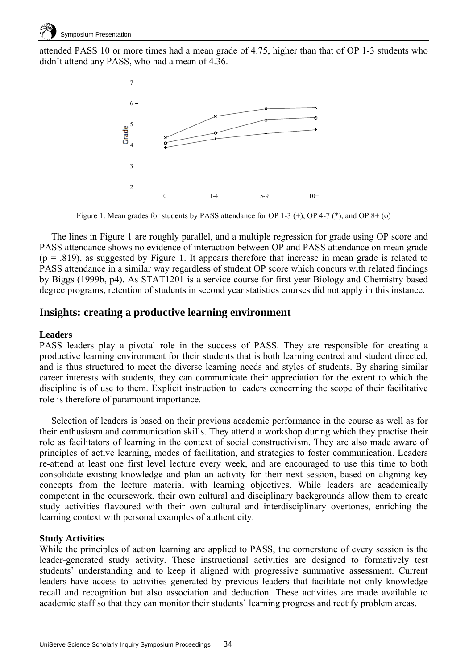

attended PASS 10 or more times had a mean grade of 4.75, higher than that of OP 1-3 students who didn't attend any PASS, who had a mean of 4.36.



Figure 1. Mean grades for students by PASS attendance for OP 1-3 (+), OP 4-7 (\*), and OP 8+ (o)

 The lines in Figure 1 are roughly parallel, and a multiple regression for grade using OP score and PASS attendance shows no evidence of interaction between OP and PASS attendance on mean grade  $(p = .819)$ , as suggested by Figure 1. It appears therefore that increase in mean grade is related to PASS attendance in a similar way regardless of student OP score which concurs with related findings by Biggs (1999b, p4). As STAT1201 is a service course for first year Biology and Chemistry based degree programs, retention of students in second year statistics courses did not apply in this instance.

## **Insights: creating a productive learning environment**

#### **Leaders**

PASS leaders play a pivotal role in the success of PASS. They are responsible for creating a productive learning environment for their students that is both learning centred and student directed, and is thus structured to meet the diverse learning needs and styles of students. By sharing similar career interests with students, they can communicate their appreciation for the extent to which the discipline is of use to them. Explicit instruction to leaders concerning the scope of their facilitative role is therefore of paramount importance.

 Selection of leaders is based on their previous academic performance in the course as well as for their enthusiasm and communication skills. They attend a workshop during which they practise their role as facilitators of learning in the context of social constructivism. They are also made aware of principles of active learning, modes of facilitation, and strategies to foster communication. Leaders re-attend at least one first level lecture every week, and are encouraged to use this time to both consolidate existing knowledge and plan an activity for their next session, based on aligning key concepts from the lecture material with learning objectives. While leaders are academically competent in the coursework, their own cultural and disciplinary backgrounds allow them to create study activities flavoured with their own cultural and interdisciplinary overtones, enriching the learning context with personal examples of authenticity.

#### **Study Activities**

While the principles of action learning are applied to PASS, the cornerstone of every session is the leader-generated study activity. These instructional activities are designed to formatively test students' understanding and to keep it aligned with progressive summative assessment. Current leaders have access to activities generated by previous leaders that facilitate not only knowledge recall and recognition but also association and deduction. These activities are made available to academic staff so that they can monitor their students' learning progress and rectify problem areas.